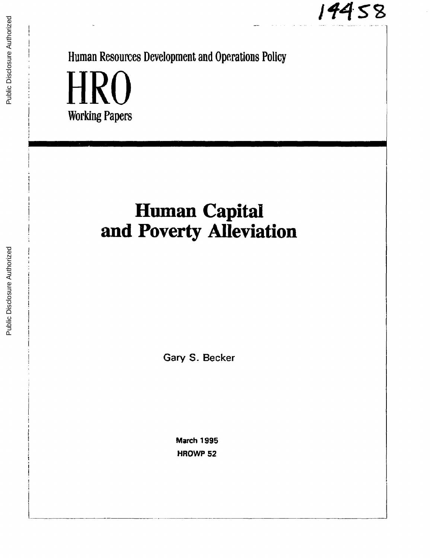# $14458$

Public Disclosure Authorized Public Disclosure Authorized

Human Resources Development and Operations Policy HRO

Working Papers

# **Human Capital and Poverty Alleviation**

Gary S. Becker

March 1995 HROWP 52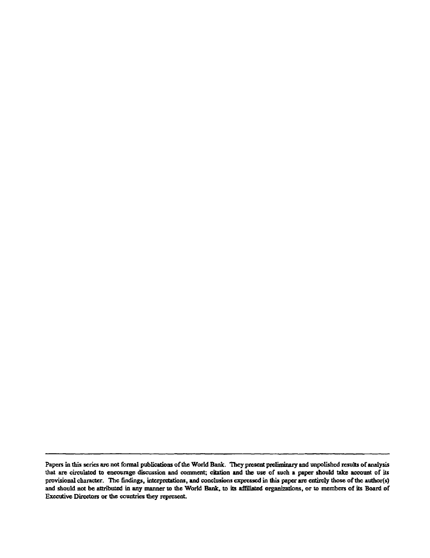Papers in this series are not formal publications of the World Bank. They present preliminary and unpolished results of analysis that are circulated to encourage discussion and comment; citation and the use of such a paper should take account of its provisional character. The findings, interpretations, and conclusions expressed in this paper are entirely those of the author(s) and should not be attributed in any manner to the World Bank, to its affiliated organizations, or to members of its Board of Executive Directors or the countries they represent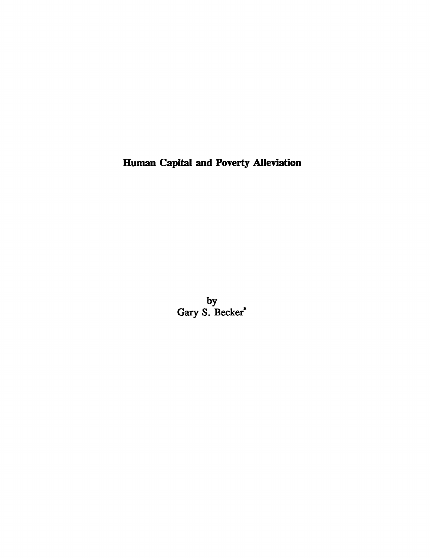Human Capital and Poverty Alleviation

by Gary S. Becker<sup>\*</sup>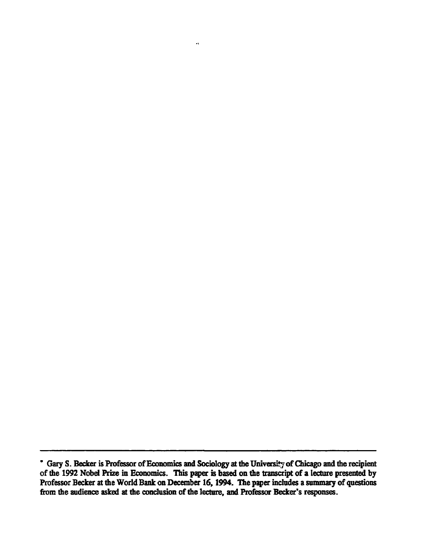$\ddot{\phantom{0}}$ 

<sup>\*</sup> Gary S. Becker is Professor of Economics and Sociology at the University of Chicago and the recipient of the 1992 Nobel Prize in Economics. This paper is based on the transcript of a lecture presented by Professor Becker at the World Bank on December 16, 1994. The paper includes a summary of questions from the audience asked at the conclusion of the lecture, and Professor Becker's responses.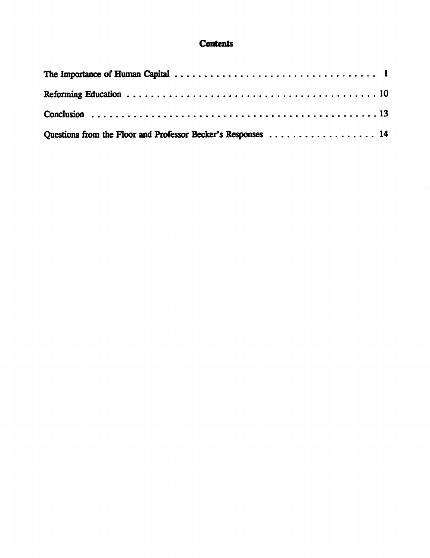# **Contents**

 $\sim$ 

| Questions from the Floor and Professor Becker's Responses 14 |  |
|--------------------------------------------------------------|--|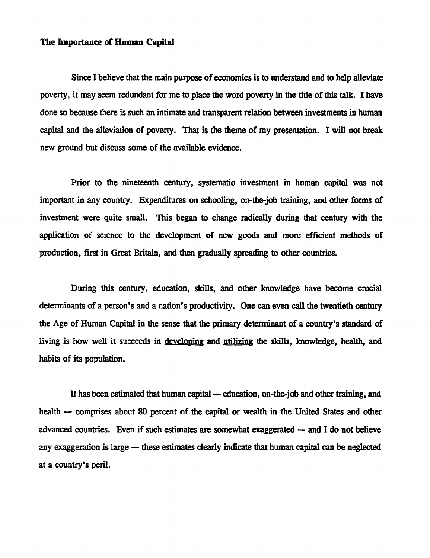### The Inportance of Human Capital

Since I believe that the main purpose of economics is to understand and to help alleviate poverty, it may seem redundant for me to place the word poverty in the title of this talk. I have done so because there is such an intimate and transparent relation between investments in human capital and the alleviation of poverty. That is the theme of my presentation. I will not break new ground but discuss some of the available evidence.

Prior to the nineteenth century, systematic investment in human capital was not important in any country. Expenditures on schooling, on-the-job training, and other forms of investment were quite small. This began to change radically during that century with the application of science to the development of new goods and more efficient methods of production, first in Great Britain, and then gradually spreading to other countries.

During this century, education, skills, and other knowledge have become crucial determinants of a person's and a nation's productivity. One can even call the twentieth century the Age of Human Capital in the sense that the primary determinant of a country's standard of living is how well it succeeds in developing and utilizing the skills, knowledge, health, and habits of its population.

It has been estimated that human capital - education, on-the-job and other training, and health - comprises about 80 percent of the capital or wealth in the United States and other advanced countries. Even if such estimates are somewhat exaggerated  $-$  and I do not believe any exaggeration is large  $-$  these estimates clearly indicate that human capital can be neglected at a country's peril.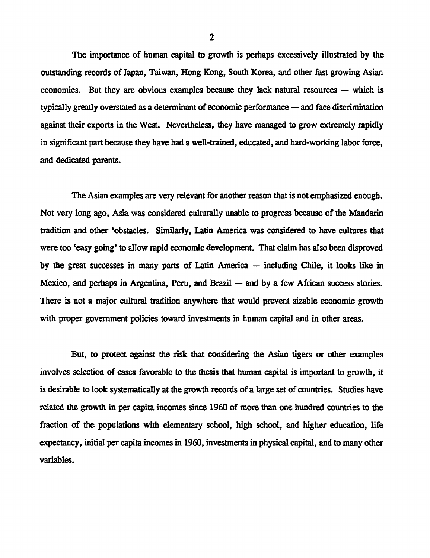The importance of human capital to growth is perhaps excessively illustrated by the outstanding records of Japan, Taiwan, Hong Kong, South Korea, and other fast growing Asian economies. But they are obvious examples because they lack natural resources  $-$  which is typically greatly overstated as a determinant of economic performance - and face discrimination against their exports in the West. Nevertheless, they have managed to grow extremely rapidly in significant part because they have had a well-trained, educated, and hard-working labor force, and dedicated parents.

The Asian examples are very relevant for another reason that is not emphasized enough. Not very long ago, Asia was considered culturally unable to progress because of the Mandarin tradition and other 'obstacles. Similarly, Latin America was considered to have cultures that were too 'easy going' to allow rapid economic development. That claim has also been disproved by the great successes in many parts of Latin America  $-$  including Chile, it looks like in Mexico, and perhaps in Argentina, Peru, and Brazil  $-$  and by a few African success stories. There is not a major cultural tradition anywhere that would prevent sizable economic growth with proper government policies toward investments in human capital and in other areas.

But, to protect against the risk that considering the Asian tigers or other examples involves selection of cases favorable to the thesis that human capital is important to growth, it is desirable to look systematically at the growth records of a large set of countries. Studies have related the growth in per capita incomes since 1960 of more than one hundred countries to the fraction of the populations with elementary school, high school, and higher education, life expectancy, initial per capita incomes in 1960, investments in physical capital, and to many other variables.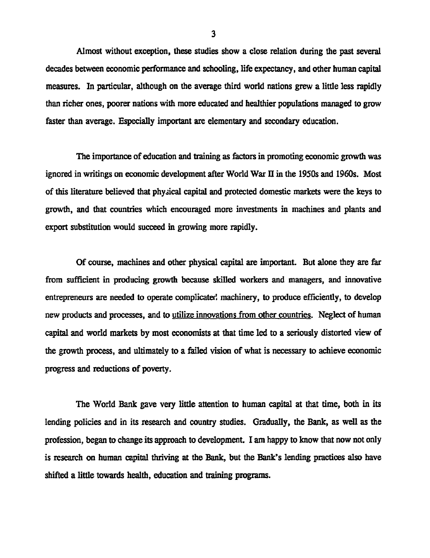Almost without exception, these studies show a close relation during the past several decades between economic performance and schooling, life expectancy, and other human capital measures. In particular, although on the average third world nations grew a little less rapidly than richer ones, poorer nations with more educated and healthier populations managed to grow faster than average. Especially important are elementary and secondary education.

The importance of education and training as factors in promoting economic growth was ignored in writings on economic development after World War II in the 1950s and 1960s. Most of this literature believed that physical capital and protected domestic markets were the keys to growth, and that countries which encouraged more investments in machines and plants and export substitution would succeed in growing more rapidly.

Of course, machines and other physical capital are important. But alone they are far from sufficient in producing growth because skilled workers and managers, and innovative entrepreneurs are needed to operate complicated machinery, to produce efficiently, to develop new products and processes, and to utilize innovations from other countries. Neglect of human capital and world markets by most economists at that time led to a seriously distorted view of the growth process, and ultimately to a failed vision of what is necessary to achieve economic progress and reductions of poverty.

The World Bank gave very little attention to human capital at that time, both in its lending policies and in its research and country studies. Gradually, the Bank, as well as the profession, began to change its approach to development. I am happy to know that now not only is research on human capital thriving at the Bank, but the Bank's lending practices also have shifted a little towards health, education and training programs.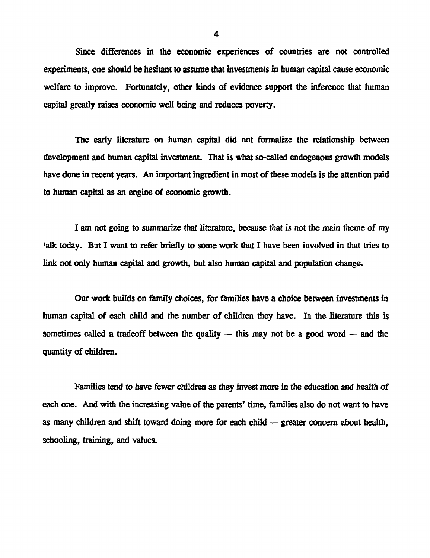Since differences in the economic experiences of countries are not controlled experiments, one should be hesitant to assume that investments in human capital cause economic welfare to improve. Fortunately, other kinds of evidence support the inference that human capital greatly raises economic well being and reduces poverty.

The early literature on human capital did not formalize the relationship between development and human capital investment. That is what so-called endogenous growth models have done in recent years. An important ingredient in most of these models is the attention paid to human capital as an engine of economic growth.

I am not going to summarize that literature, because that is not the main theme of my talk today. But I want to refer briefly to some work that I have been involved in that tries to link not only human capital and growth, but also human capital and population change.

Our work builds on family choices, for families have a choice between investments in human capital of each child and the number of children they have. In the literature this is sometimes called a tradeoff between the quality  $-$  this may not be a good word  $-$  and the quantity of children.

Families tend to have fewer children as they invest more in the education and health of each one. And with the increasing value of the parents' time, families also do not want to have as many children and shift toward doing more for each child  $-$  greater concern about health, schooling, training, and values.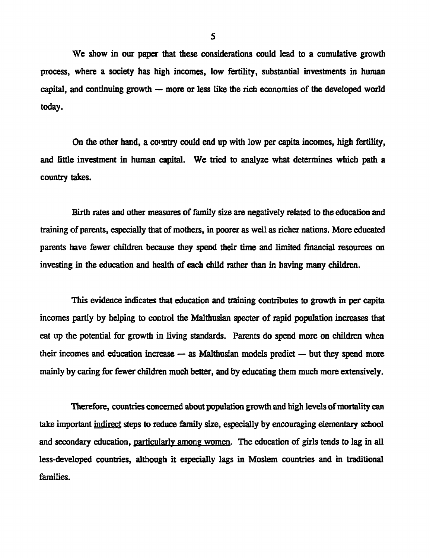We show in our paper that these considerations could lead to a cumulative growth process, where a society has high incomes, low fertility, substantial investments in human capital, and continuing growth  $-$  more or less like the rich economies of the developed world today.

On the other hand, a country could end up with low per capita incomes, high fertility, and little investment in human capital. We tried to analyze what determines which path a country takes.

Birth rates and other measures of family size are negatively related to the education and training of parents, especially that of mothers, in poorer as well as richer nations. More educated parents have fewer children because they spend their time and limited financial resources on investing in the education and health of each child rather than in having many children.

This evidence indicates that education and training contributes to growth in per capita incomes partly by helping to control the Malthusian specter of rapid population increases that eat up the potential for growth in living standards. Parents do spend more on children when their incomes and education increase  $-$  as Malthusian models predict  $-$  but they spend more mainly by caring for fewer children much better, and by educating them much more extensively.

Therefore, countries concerned about population growth and high levels of mortality can take important indirect steps to reduce family size, especially by encouraging elementary school and secondary education, particularly among women. The education of girls tends to lag in all less-developed countries, although it especially lags in Moslem countries and in traditional families.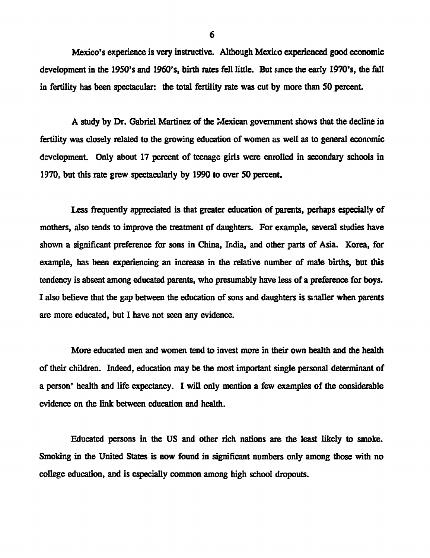Mexico's experience is very instructive. Although Mexico experienced good economic development in the 1950's and 1960's, birth rates fell little. But since the early 1970's, the fall in fertility has been spectacular: the total fertility rate was cut by more than 50 percent.

A study by Dr. Gabriel Martinez of the Mexican government shows that the decline in fertility was closely related to the growing education of women as well as to general economic development. Only about 17 percent of teenage girls were enrolled in secondary schools in 1970, but this rate grew spectacularly by 1990 to over 50 percent.

Less frequently appreciated is that greater education of parents, perhaps especially of mothers, also tends to improve the treatment of daughters. For example, several studies have shown a significant preference for sons in China, India, and other parts of Asia. Korea, for example, has been experiencing an increase in the relative number of male births, but this tendency is absent among educated parents, who presumably have less of a preference for boys. I also believe that the gap between the education of sons and daughters is sinaller when parents are more educated, but I have not seen any evidence.

More educated men and women tend to invest more in their own health and the health of their children. Indeed, education may be the most important single personal determinant of a person' health and life expectancy. I will only mention a few examples of the considerable evidence on the link between education and health.

Educated persons in the US and other rich nations are the least likely to smoke. Smoking in the United States is now found in significant numbers only among those with no college education, and is especially common among high school dropouts.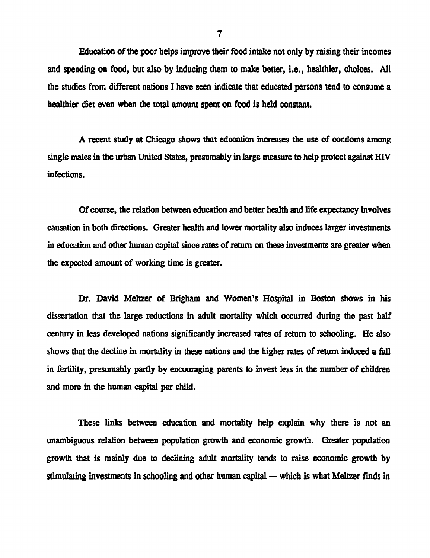Education of the poor helps improve their food intake not only by raising their incomes and spending on food, but also by inducing them to make better, i.e., healthier, choices. All the studies from different nations I have seen indicate that educated persons tend to consume a healthier diet even when the total amount spent on food is held constant.

A recent study at Chicago shows that education increases the use of condoms among single males in the urban United States, presumably in large measure to help protect against HIV infections.

Of course, the relation between education and better health and life expectancy involves causation in both directions. Greater health and lower mortality also induces larger investments in education and other human capital since rates of return on these investments are greater when the expected amount of working time is greater.

Dr. David Meltzer of Brigham and Women's Hospital in Boston shows in his dissertation that the large reductions in adult mortality which occurred during the past half century in less developed nations significantly increased rates of return to schooling. He also shows that the decline in mortality in these nations and the higher rates of return induced a fall in fertility, presumably partly by encouraging parents to invest less in the number of children and more in the human capital per child.

These links between education and mortality help explain why there is not an unambiguous relation between population growth and economic growth. Greater population growth that is mainly due to deciining adult mortality tends to raise economic growth by stimulating investments in schooling and other human capital  $-$  which is what Meltzer finds in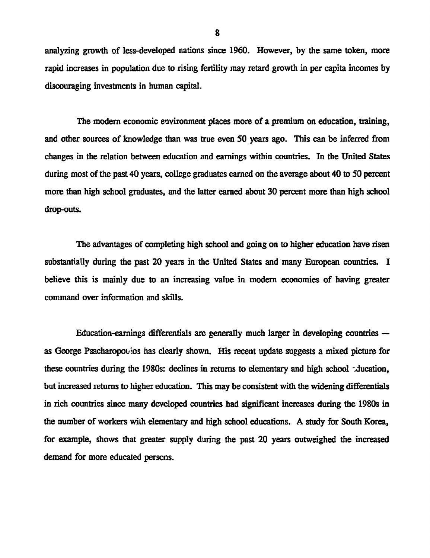analyzing growth of less-developed nations since 1960. However, by the same token, more rapid increases in population due to rising fertility may retard growth in per capita incomes by discouraging investments in human capital.

The modem economic environment places more of a premium on education, training, and other sources of knowledge than was true even 50 years ago. This can be inferred from changes in the relation between education and earnings within countries. In the United States during most of the past 40 years, college graduates earned on the average about 40 to 50 percent more than high school graduates, and the latter earned about 30 percent more than high school drop-outs.

The advantages of completing high school and going on to higher education have risen substantially during the past 20 years in the United States and many European countries. I believe this is mainly due to an increasing value in modern economies of having greater command over information and skills.

Education-earnings differentials are generally much larger in developing countries  $$ as George Psacharopouios has clearly shown. His recent update suggests a mixed picture for these countries during the 1980s: declines in retums to elementary and high school -4ucation, but increased returns to higher education. This may be consistent with the widening differenfials in rich countries since many developed countries had significant increases during the 1980s in the number of workers with elementary and high school educations. A study for South Korea, for example, shows that greater supply during the past 20 years outweighed the increased demand for more educated persons.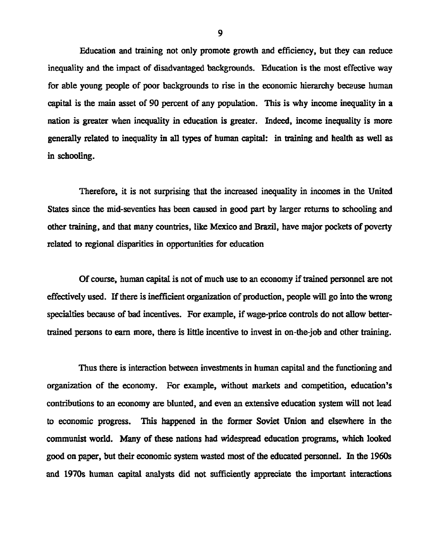Education and training not only promote growth and efficiency, but they can reduce inequality and the impact of disadvantaged backgrounds. Education is the most effective way for able young people of poor backgrounds to rise in the economic hierarchy because human capital is the main asset of 90 percent of any population. This is why income inequality in a nation is greater when inequality in education is greater. Indeed, income inequality is more generally related to inequality in all types of human capital: in training and health as well as in schooling.

Therefore, it is not surprising that the increased inequality in incomes in the United States since the mid-seventies has been caused in good part by larger returns to schooling and other training, and that many countries, like Mexico and Brazil, have major pockets of poverty related to regional disparities in opportunities for education

Of course, human capital is not of much use to an economy if trained personnel are not effectively used. If there is inefficient organization of production, people will go into the wrong specialties because of bad incentives. For exaample, if wage-price controls do not allow bettertrained persons to earn more, there is little incentive to invest in on-the-job and other training.

Thus there is interaction between investments in human capital and the functioning and organization of the economy. For example, without markets and competition, education's contributions to an economy are blunted, and even an extensive education system will not lead to economic progress. This happened in the former Soviet Union and elsewhere in the communist world. Many of these nations had widespread education programs, which looked good on paper, but their economic system wasted most of the educated personnel. In the 1960s and 1970s human capital analysts did not sufficiently appreciate the important interactions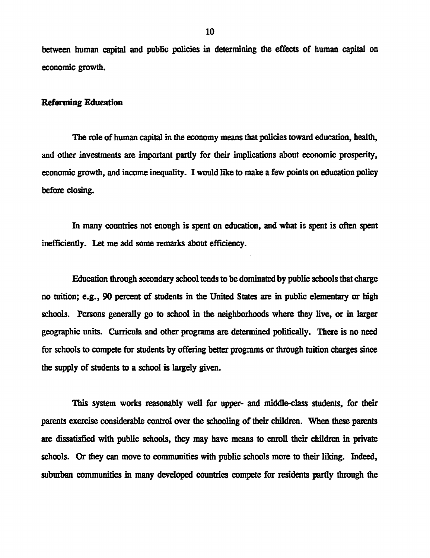between human capital and public policies in determining the effects of human capital on economic growth.

#### Reforming Education

The role of human capital in the economy means that policies toward education, health, and other investments are important partly for their implications about economic prosperity, economic growth, and income inequality. I would like to make a few points on education policy before closing.

In many countries not enough is spent on education, and what is spent is often spent inefficiently. Let me add some remarks about efficiency.

Education through secondary school tends to be dominated by public schools that charge no tuition; e.g., 90 percent of students in the United States are in public elementary or high schools. Persons generally go to school in the neighborhoods where they live, or in larger geographic units. Curricula and other programs are determined politically. There is no need for schools to compete for students by offering better programs or through tuition charges since the supply of students to a school is largely given.

This system works reasonably well for upper- and middle-class students, for their parents exercise considerable control over the schooling of their children. When these parents are dissatisfied with public schools, they may have means to enroll their children in private schools. Or they can move to communities with public schools more to their liking. Indeed, suburban communities in many developed countries compete for residents partly through the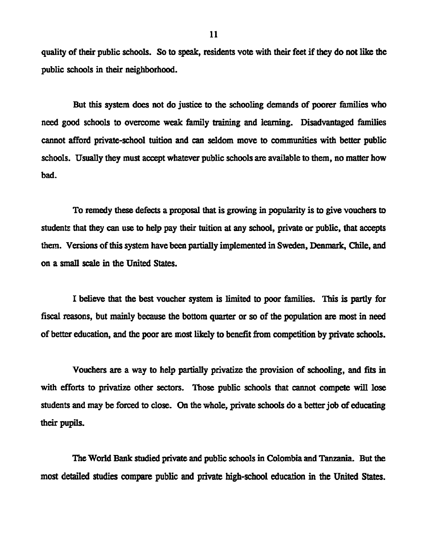quality of their public schools. So to speak, residents vote with their feet if they do not like the public schools in their neighborhood.

But this system does not do justice to the schooling demands of poorer families who need good schools to overcome weak family training and learning. Disadvantaged families cannot afford private-school tuition and can seldom move to communities with better public schools. Usually they must accept whatever public schools are available to them, no matter how bad.

To remedy these defects a proposal that is growing in popularity is to give vouchers to students that they can use to help pay their tuition at any school, private or public, that accepts them. Versions of this system have been partially implemented in Sweden, Denmark, Chile, and on a small scale in the United States.

I believe that the best voucher system is limited to poor families. This is partly for fiscal reasons, but mainly because the bottom quarter or so of the population are most in need of better education, and the poor are most likely to benefit from competition by private schools.

Vouchers are a way to help partally privatize the provision of schooling, and fits in with efforts to privatize other sectors. Those public schools that cannot compete will lose students and may be forced to close. On the whole, private schools do a better job of educating their pupils.

The World Bank studied private and public schools in Colombia and Tanzania. But the most detailed studies compare public and private high-school education in the United States.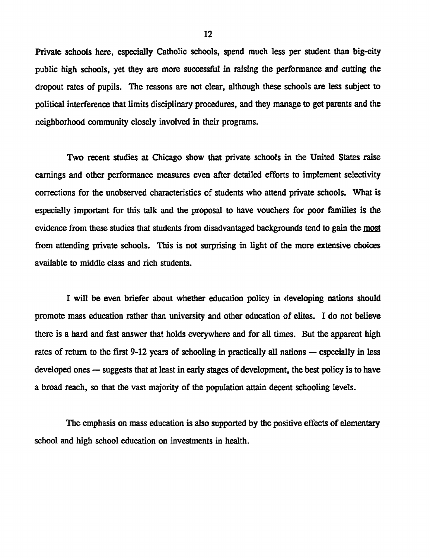Private schools here, especially Catholic schools, spend much less per student than big-city public high schools, yet they are more successful in raising the performance and cutting the dropout rates of pupils. The reasons are not clear, although these schools are less subject to political interference that limits disciplinary procedures, and they manage to get parents and the neighborhood community closely involved in their programs.

Two recent studies at Chicago show that private schools in the United States raise earnings and other performance measures even after detailed efforts to implement selectivity corrections for the unobserved characteristics of students who attend private schools. What is especially important for this talk and the proposal to have vouchers for poor families is the evidence from these studies that students from disadvantaged backgrounds tend to gain the most from attending private schools. This is not surprising in light of the more extensive choices available to middle class and rich students.

I will be even briefer about whether education policy in developing nations should promote mass education rather than university and other education of elites. I do not believe there is a hard and fast answer that holds everywhere and for all times. But the apparent high rates of return to the first 9-12 years of schooling in practically all nations  $-$  especially in less developed ones  $-$  suggests that at least in early stages of development, the best policy is to have a broad reach, so that the vast majority of the population attain decent schooling levels.

The emphasis on mass education is also supported by the positive effects of elementary school and high school education on investments in health.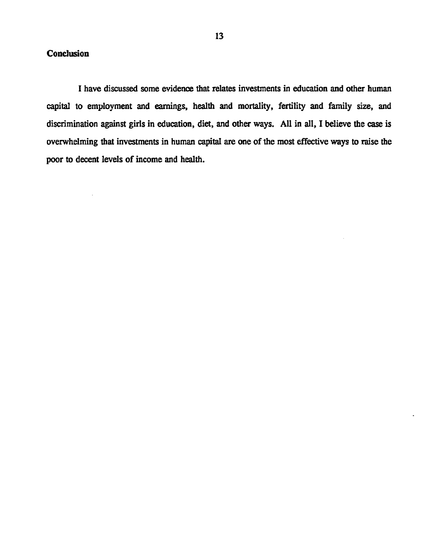# **Conclusion**

I have discussed some evidence that relates investments in education and other human capital to employment and earnings, health and mortality, fertility and family size, and discrimination against girls in education, diet, and other ways. All in all, I believe the case is overwhelming that investments in human capital are one of the most effective ways to raise the poor to decent levels of income and health.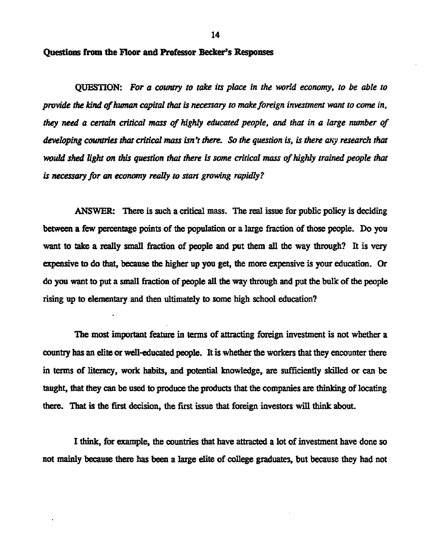14

### Questions from the Floor and Professor Becker's Responses

QUESTION: *For a country to take its place in the world economy, to be able to provide the kind of human capital that is necessary to make foreign investment want to come in, they need a certain critical mass of highly educated people, and that in a large number of developing countries that critical mass isn't there. So the question is, is there any research that would shed light on this question that there is some critical mass of highly trained people that is necessary for an economy really to stan growing rapidly?*

ANSWER: There is such a critical mass. The real issue for public policy is deciding between a few percentage points of the population or a large fraction of those people. Do you want to take a really small fraction of people and put them all the way through? It is very expensive to do that, because the higher up you get, the more expensive is your education. Or do you want to put a small fraction of people aU the way through and put the bulk of the people ising up to elementary and then ultimately to some high school education?

The most important feature in terms of attracting foreign investment is not whether a country has an elite or well-educated people. It is whether the workers that they encounter there in terms of literacy, work habits, and potential knowledge, are sufficiently skilled or can be taught, that they can be used to produce the products that the companies are thinking of locating there. That is the first decision, the first issue that foreign investors will think about.

I think, for example, the countries that have attracted a lot of investment have done so not mainly because there has been a large elite of college graduates, but because they had not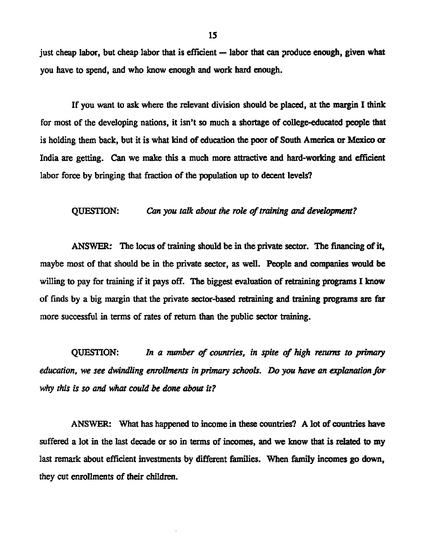just cheap labor, but cheap labor that is efficient  $-$  labor that can produce enough, given what you have to spend, and who know enough and work hard enough.

If you want to ask where the relevant division should be placed, at the margin I think for most of the developing nations, it isn't so much a shortage of college-educated people that is holding them back, but it is what kind of education the poor of South America or Mexico or India are getting. Can we make this a much more attractive and hard-working and efficient labor force by bringing that fraction of the population up to decent levels?

#### QUESTION: *Can you talk about the role of training and development?*

ANSWER: The locus of training should be in the private sector. The financing of it, maybe most of that should be in the private sector, as well. People and companies would be willing to pay for training if it pays off. The biggest evaluation of retraining programs I know of finds by a big margin that the private sector-based retraining and training programs are far more successful in terms of rates of return than the public sector training.

QUESTION: *In a nunber of countries, in spite of high retunms to primary education, we see dwindling enrollments in primary schools. Do you have an explanation for why this is so and what could be done about it?*

ANSWER: What has happened to income in these countries? A lot of countries have suffered a lot in the last decade or so in terms of incomes, and we know that is related to my last remark about efficient investments by different families. When family incomes go down, they cut enrollments of their children.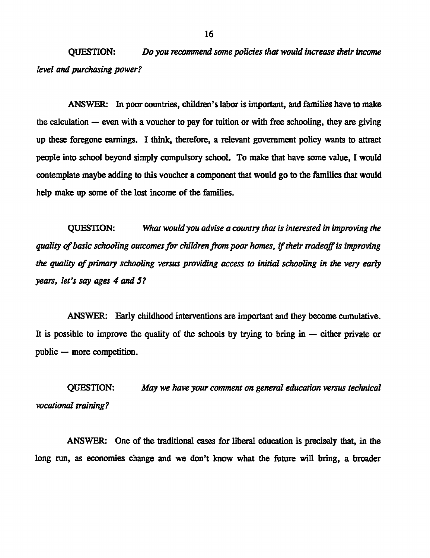QUESTION: *Do you recommend some policies that would increase their income level and purchasing power?*

ANSWER: In poor countries, children's labor is important, and farnilies have to make the calculation  $-$  even with a voucher to pay for tuition or with free schooling, they are giving up these foregone earnings. I think, therefore, a relevant government policy wants to attract people into school beyond simply compulsory school. To make that have some value, I would contemplate maybe adding to this voucher a component that would go to the families that would help make up some of the lost income of the families.

QUESTION: *What would you advise a country that is interested in improving the quality of basic schooling outcomes for childrenfrom poor homes, if their tradeoff is inproving the quality of primary schooling versus providing access to initial schooling in the very early years, let's say ages 4 and 5?*

ANSWER: Early childhood interventions are important and they become cumulative. It is possible to improve the quality of the schools by trying to bring in  $-$  either private or public  $-$  more competition.

QUESTION: *May we have your comment on general education versus technical vocational training?*

ANSWER: One of the traditional cases for liberal education is precisely that, in the long run, as economies change and we don't know what the future will bring, a broader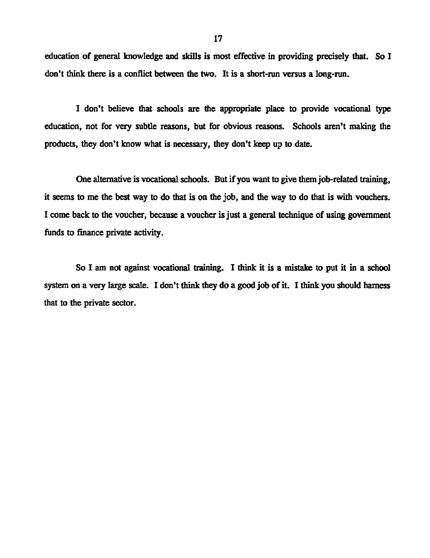education of general knowledge and skills is most effective in providing precisely that. So I don't think there is a conflict between the two. It is a short-run versus a long-run.

I don't believe that schools are the appropriate place to provide vocational type education, not for very subtle reasons, but for obvious reasons. Schools aren't making the products, they don't know what is necessary, they don't keep up to date.

One alternative is vocational schools. But if you want to give them job-related training, it seems to me the best way to do that is on the job, and the way to do that is with vouchers. I come back to the voucher, because a voucher is just a general technique of using government funds to finance private activity.

So I am not against vocational training. I think it is a mistake to put it in a school system on a very large scale. I don't think they do a good job of it. I think you should hamess that to the private sector.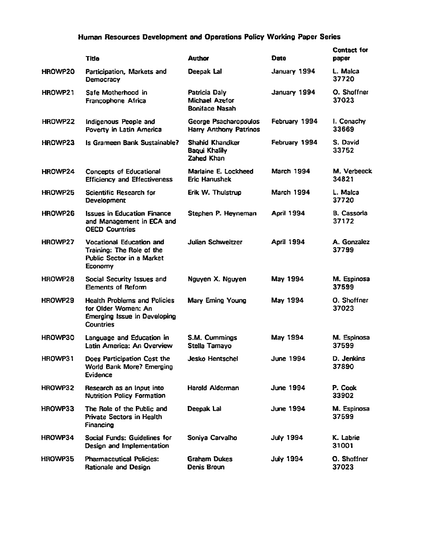## Human Resources Development and Operations Policy Working Paper Series

|         | <b>Title</b>                                                                                                          | <b>Author</b>                                                   | Date              | <b>Contact for</b><br>paper |
|---------|-----------------------------------------------------------------------------------------------------------------------|-----------------------------------------------------------------|-------------------|-----------------------------|
| HROWP20 | Participation, Markets and<br>Democracy                                                                               | Deepak Lal                                                      | January 1994      | L. Malca<br>37720           |
| HROWP21 | Safe Motherhood in<br>Francophone Africa                                                                              | Patricia Daly<br><b>Michael Azefor</b><br><b>Boniface Nasah</b> | January 1994      | O. Shoffner<br>37023        |
| HROWP22 | Indigenous People and<br>Poverty in Latin America                                                                     | George Psacharopoulos<br><b>Harry Anthony Patrinos</b>          | February 1994     | I. Conachy<br>33669         |
| HROWP23 | Is Grameen Bank Sustainable?                                                                                          | <b>Shahid Khandker</b><br>Baqui Khalily<br>Zahed Khan           | February 1994     | S. David<br>33752           |
| HROWP24 | <b>Concepts of Educational</b><br><b>Efficiency and Effectiveness</b>                                                 | Marlaine E. Lockheed<br><b>Eric Hanushek</b>                    | <b>March 1994</b> | M. Verbeeck<br>34821        |
| HROWP25 | <b>Scientific Research for</b><br>Development                                                                         | Erik W. Thulstrup                                               | March 1994        | L. Malca<br>37720           |
| HROWP26 | <b>Issues in Education Finance</b><br>and Management in ECA and<br><b>OECD Countries</b>                              | Stephen P. Heyneman                                             | <b>April 1994</b> | <b>B.</b> Cassorla<br>37172 |
| HROWP27 | <b>Vocational Education and</b><br>Training: The Role of the<br>Public Sector in a Market<br>Economy                  | <b>Julian Schweitzer</b>                                        | April 1994        | A. Gonzalez<br>37799        |
| HROWP28 | Social Security Issues and<br><b>Elements of Reform</b>                                                               | Nguyen X. Nguyen                                                | May 1994          | M. Espinosa<br>37599        |
| HROWP29 | <b>Health Problems and Policies</b><br>for Older Women: An<br><b>Emerging Issue in Developing</b><br><b>Countries</b> | Mary Eming Young                                                | May 1994          | O. Shoffner<br>37023        |
| HROWP30 | Language and Education in<br>Latin America: An Overview                                                               | S.M. Cummings<br>Stella Tamayo                                  | May 1994          | M. Espinosa<br>37599        |
| HROWP31 | Does Participation Cost the<br>World Bank More? Emerging<br>Evidence                                                  | Jesko Hentschel                                                 | June 1994         | D. Jenkins<br>37890         |
| HROWP32 | Research as an Input into<br><b>Nutrition Policy Formation</b>                                                        | Harold Alderman                                                 | <b>June 1994</b>  | P. Cook<br>33902            |
| HROWP33 | The Role of the Public and<br>Private Sectors in Health<br>Financing                                                  | Deepak Lal                                                      | June 1994         | M. Espinosa<br>37599        |
| HROWP34 | Social Funds: Guidelines for<br>Design and Implementation                                                             | Soniya Carvalho                                                 | July 1994         | K. Labrie<br>31001          |
| HROWP35 | <b>Pharmaceutical Policies:</b><br>Rationale and Design                                                               | <b>Graham Dukes</b><br>Denis Broun                              | <b>July 1994</b>  | O. Shoffner<br>37023        |